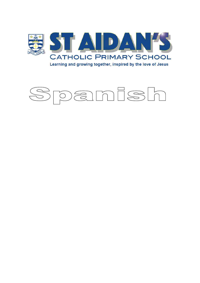

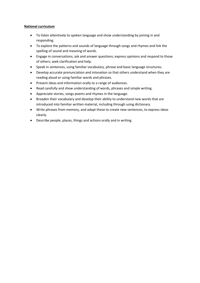#### **National curriculum**

- To listen attentively to spoken language and show understanding by joining in and responding.
- To explore the patterns and sounds of language through songs and rhymes and link the spelling of sound and meaning of words.
- Engage in conversations; ask and answer questions; express opinions and respond to those of others; seek clarification and help.
- Speak in sentences, using familiar vocabulary, phrase and basic language structures.
- Develop accurate pronunciation and intonation so that others understand when they are reading aloud or using familiar words and phrases.
- Present ideas and information orally to a range of audiences.
- Read carefully and show understanding of words, phrases and simple writing.
- Appreciate stories, songs poems and rhymes in the language.
- Broaden their vocabulary and develop their ability to understand new words that are introduced into familiar written material, including through using dictionary.
- Write phrases from memory, and adapt these to create new sentences, to express ideas clearly.
- Describe people, places, things and actions orally and in writing.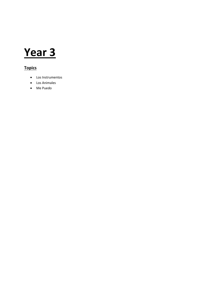### **Year 3**

#### **Topics**

- Los Instrumentos
- Los Animales
- Me Puedo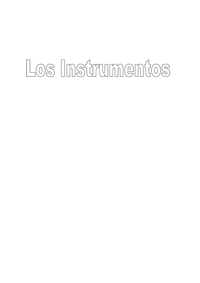# Los Instrumentos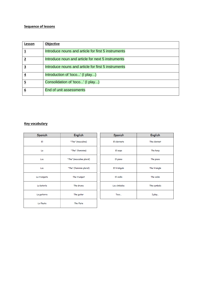| Lesson                  | Objective                                           |
|-------------------------|-----------------------------------------------------|
|                         | Introduce nouns and article for first 5 instruments |
|                         | Introduce noun and article for next 5 instruments   |
| $\overline{\mathbf{3}}$ | Introduce nouns and article for first 5 instruments |
| 4                       | Introduction of 'toco' (I play)                     |
| $\overline{5}$          | Consolidation of 'toco' (I play)                    |
| 6                       | End of unit assessments                             |

| Spanish     | English                  | Spanish      | English      |
|-------------|--------------------------|--------------|--------------|
| EI          | "The" (masculine)        | El clarinete | The clarinet |
| La          | "The" (feminine)         | El arpa      | The harp     |
| Los         | "The" (masculine plural) | El piano     | The piano    |
| Las         | "The" (feminine plural)  | El triángulo | The triangle |
| La trompeta | The trumpet              | El violín    | The violin   |
| La batería  | The drums                | Los címbalos | The cymbals  |
| La guitarra | The guitar               | Toco         | I play       |
| La flauta   | The flute                |              |              |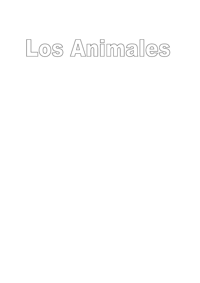# Los Animales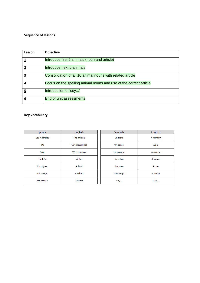| Lesson         | Objective                                                         |
|----------------|-------------------------------------------------------------------|
|                | Introduce first 5 animals (noun and article)                      |
| $\overline{2}$ | Introduce next 5 animals                                          |
| 3              | Consolidation of all 10 animal nouns with related article         |
| 4              | Focus on the spelling animal nouns and use of the correct article |
| 5              | Introduction of 'soy'                                             |
| 6              | End of unit assessments                                           |

| Spanish      | English         | Spanish    | English  |
|--------------|-----------------|------------|----------|
| Los Animales | The animals     | Un mono    | A monkey |
| $U_{n}$      | "A" (masculine) | Un cerdo   | A pig    |
| Una          | "A" (feminine)  | Un canario | A canary |
| Un león      | A lion          | Un ratón   | A mouse  |
| Un pájaro    | A bird          | Una vaca   | A cow    |
| Un conejo    | A rabbit        | Una oveja  | A sheep  |
| Un caballo   | A horse         | Soy        | $I$ am   |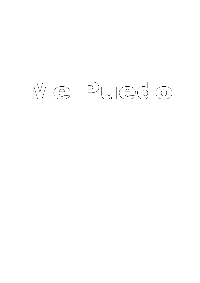# Me Puedo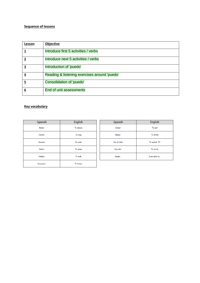| Lesson                  | <b>Objective</b>                             |
|-------------------------|----------------------------------------------|
|                         | Introduce first 5 activities / verbs         |
|                         | Introduce next 5 activities / verbs          |
| $\overline{\mathbf{3}}$ | Introduction of 'puedo'                      |
| <u>4</u>                | Reading & listening exercises around 'puedo' |
| $\overline{5}$          | Consolidation of 'puedo'                     |
| 6                       | End of unit assessments                      |

| Spanish       | English   |  |
|---------------|-----------|--|
| <b>Bailar</b> | To dance  |  |
| Cantar        | To sing   |  |
| Cocinar       | To cook   |  |
| Saltar        | To jump   |  |
| Hablar        | To talk   |  |
| Escuchar      | To listen |  |

| Spanish     | English      |
|-------------|--------------|
| Comer       | To eat       |
| Beber       | To drink     |
| Ver la tele | To watch TV  |
| Escribir    | To write     |
| Puedo       | I am able to |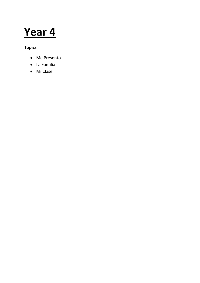### **Year 4**

#### **Topics**

- Me Presento
- La Familia
- Mi Clase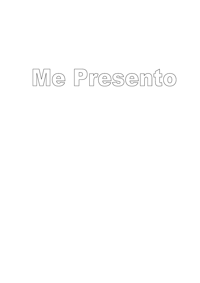# Me Presento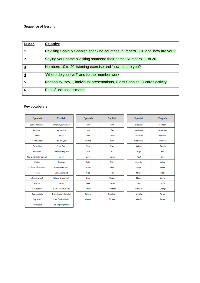| Lesson   | Objective                                                                    |
|----------|------------------------------------------------------------------------------|
|          | Revising Spain & Spanish speaking countries, numbers 1-10 and 'how are you?' |
|          | Saying your name & asking someone their name. Numbers 11 to 20.              |
| 3        | Numbers 10 to 20 listening exercise and 'how old are you?                    |
| 4        | 'Where do you live?' and further number work                                 |
| <u>5</u> | Nationality, soy, individual presentations, Class Spanish ID cards activity  |
| 6        | End of unit assessments                                                      |

| Spanish                   | <b>English</b>        | Spanish      | English         | Spanish           | English       |
|---------------------------|-----------------------|--------------|-----------------|-------------------|---------------|
| ¿Cómo te llamas?          | What is your name?    | Uno          | One             | <b>Dieciséis</b>  | Sixteen       |
| Me llamo                  | My name is            | Dos          | Two             | <b>Diecisiete</b> | Seventeen     |
| <b>iHola!</b>             | Hello                 | Tres         | <b>Three</b>    | Dieciocho         | Eighteen      |
| ¿Cómo estás?              | How are you?          | Cuatro       | Four            | <b>Diecinueve</b> | Nineteen      |
| <b>Estoy bien</b>         | I am fine             | Cinco        | <b>Five</b>     | Veinte            | Twenty        |
| Estoy mal                 | I am not very well    | Seis         | Six             | Rojo              | Red           |
| Mas o menos (or así, así) | So. so!               | Siete        | Seven           | Azul              | Blue          |
| <i><b>IAdiós!</b></i>     | Goodbye               | Ocho         | Eight           | Amarillo          | <b>Yellow</b> |
| ¿Cuántos años tienes?     | How old are you?      | <b>Nueve</b> | <b>Nine</b>     | Verde             | Green         |
| Tengo                     | I am years old        | <b>Diez</b>  | Ten             | Negro             | <b>Black</b>  |
| ¿Dónde vives?             | Where do you live?    | Once         | Eleven          | Blanco            | White         |
| Vivo en                   | I live in             | Doce         | <b>Twelve</b>   | Gris              | Grey          |
| Soy español               | I am Spanish (male)   | Trece        | <b>Thirteen</b> | Naranja           | Orange        |
| Soy española              | I am Spanish (female) | Catorce      | Fourteen        | Violeta           | Purple        |
| Soy inglés                | I am English (male)   | Quince       | Fifteen         | Marrón            | Brown         |
| Soy inglesa               | I am English (female) |              |                 |                   |               |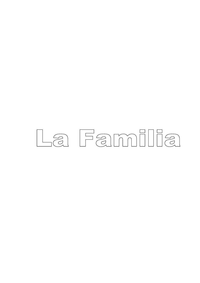# La Familia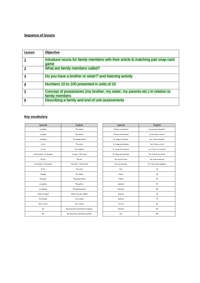| Lesson | Objective                                                                                        |
|--------|--------------------------------------------------------------------------------------------------|
|        | Introduce nouns for family members with their article & matching pair snap card<br>qame          |
| 2      | What are family members called?                                                                  |
| 3      | Do you have a brother or sister?' and listening activity                                         |
|        | Numbers 10 to 100 presented in units of 10                                                       |
| 5      | Concept of possessives (my brother, my sister, my parents etc.) in relation to<br>family members |
| 6      | Describing a family and end of unit assessments                                                  |

| Spanish                  | English                              |
|--------------------------|--------------------------------------|
| La familia               | The family                           |
| La mamá                  | The mother                           |
| La abuela                | The grand-mother                     |
| La tía                   | The cunty                            |
| La hija                  | The daughter                         |
| Una hermana / La hermana | A sister / The sister                |
| El hijo                  | The son                              |
| Un hermano / El hermano  | A brother / The brother              |
| El tío                   | The uncle                            |
| El papá                  | The father                           |
| El abuelo                | The grand-father                     |
| Los padres               | The parents                          |
| Los abuelos              | The grand-parents                    |
| ¿Cómo se llama?          | What it he/she called?               |
| Él se llama              | He is called                         |
| Ella so llama            | She is called                        |
| Mi                       | My (masculine and feminine singular) |
| Mic                      | My (masculine and feminine plural)   |

| Spanish                | English                   |
|------------------------|---------------------------|
| ¿Tienes un hermano?    | Do you have a brother?    |
| CTionas una hormana?   | Do you have a sister?     |
| Sí, tengo un hermano   | Yes, I have a brother     |
| Sí, tengo una hermana  | Yes, I have a sister      |
| Sí, tengo dos hermanos | Yes, I have two brothers  |
| Sí, tengo dos hermanas | Ves, I have two sisters   |
| No, soy hijo único     | No, I am an only son      |
| No, soy hija única     | No, I am an only daughter |
| <b>Diez</b>            | 10                        |
| <b>Veinte</b>          | 20                        |
| Trainta                | 30                        |
| Cuarenta               | 40                        |
| Cincuenta              | 60                        |
| Sesenta                | 60                        |
| Setenta                | 70                        |
| Ochenta                | 80                        |
| Noventa                | 90                        |
| Cien                   | 100                       |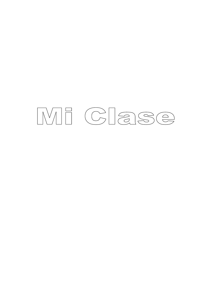## ME Clase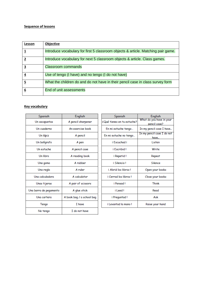| Lesson         | Objective                                                                         |
|----------------|-----------------------------------------------------------------------------------|
|                | Introduce vocabulary for first 5 classroom objects & article. Matching pair game. |
|                | Introduce vocabulary for next 5 classroom objects & article. Class games.         |
| 3              | <b>Classroom commands</b>                                                         |
| 4              | Use of tengo (I have) and no tengo (I do not have)                                |
| $\overline{5}$ | What the children do and do not have in their pencil case in class survey form    |
| 6              | End of unit assessments                                                           |

| Spanish                | English                   |  |
|------------------------|---------------------------|--|
| Un sacapuntas          | A pencil sharpener        |  |
| Un cuaderno            | An exercise book          |  |
| Un lápiz               | A pencil                  |  |
| Un bolígrafo           | A pen                     |  |
| Un estuche             | A pencil case             |  |
| Un libro               | A reading book            |  |
| Una goma               | A rubber                  |  |
| Una regla              | A ruler                   |  |
| Una calculadora        | A calculator              |  |
| Unas tijeras           | A pair of scissors        |  |
| Una barra de pegamento | A glue stick              |  |
| Una cartera            | A book bag / a school bag |  |
| Tengo                  | <b>I</b> have             |  |
| No tengo               | I do not have             |  |

| Spanish                    | English                    |  |
|----------------------------|----------------------------|--|
| ¿Qué tienes en tu estuche? | What do you have in your   |  |
|                            | pencil case?               |  |
| En mi estuche tengo        | In my pencil case I have   |  |
| En mi estuche no tengo     | In my pencil case I do not |  |
|                            | have                       |  |
| i Escuchad i               | l isten                    |  |
| i Escribid I               | Write                      |  |
| i Repetid !                | Repeat                     |  |
| i Silencio I               | <b>Silence</b>             |  |
| i Abrid los libros l       | Open your books            |  |
| i Cerrad los libros l      | Close your books           |  |
| i Pensad I                 | Think                      |  |
| i Leed I                   | Read                       |  |
| i Preguntad !              | Ask                        |  |
| i Levantad la mano l       | Raise your hand            |  |
|                            |                            |  |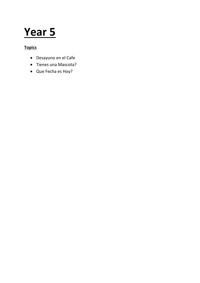### **Year 5**

#### **Topics**

- Desayuno en el Cafe
- Tienes una Mascota?
- Que Fecha es Hoy?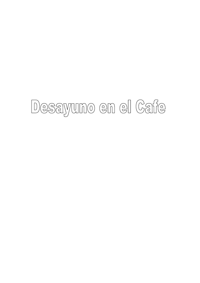## Desayuno en el Cafe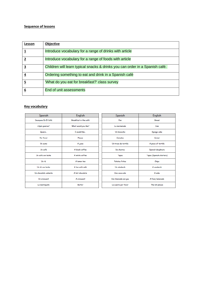| Lesson | Objective                                                                    |
|--------|------------------------------------------------------------------------------|
|        | Introduce vocabulary for a range of drinks with article                      |
|        | Introduce vocabulary for a range of foods with article                       |
| 3      | Children will learn typical snacks & drinks you can order in a Spanish café. |
| 4      | Ordering something to eat and drink in a Spanish café                        |
| 5      | 'What do you eat for breakfast?' class survey                                |
| 6      | End of unit assessments                                                      |

| Spanish               | English               | Spanish               | English                  |
|-----------------------|-----------------------|-----------------------|--------------------------|
| Desayuno En El Café   | Breakfast in the café | Pan                   | <b>Bread</b>             |
| ¿Qué quieres?         | What would you like?  | La mermelada          | Jam                      |
| Quiero                | T would like          | Un bizcocho           | Sponge cake              |
| Por favor             | Please                | Cereales              | Cereal                   |
| Un zumo               | A juice               | Un trozo de tortilla  | A piece of tortilla      |
| Un café               | A black coffee        | De churros            | Spanish doughnuts        |
| Un café con leche     | A white coffee        | Tapas                 | Tapas (Spanish starters) |
| Un té                 | A lemon tea           | <b>Patatas fritas</b> | Chips                    |
| Un té con leche       | A tea with milk       | Un sándwich           | A sandwich               |
| Un chocolate caliente | A hot chocolate       | Una coca-cola         | A coke                   |
| Un croissant          | A croissant           | Una limonada con gas  | A fizzy lemonade         |
| La mantequilla        | <b>Butter</b>         | La cuenta por favor   | The bill please          |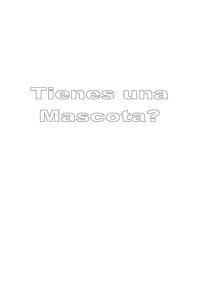### Tienes una Mascota?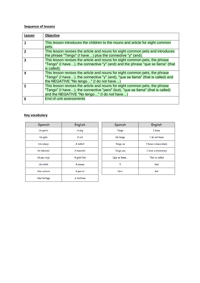| Lesson | Objective                                                                                                                                                                                                    |
|--------|--------------------------------------------------------------------------------------------------------------------------------------------------------------------------------------------------------------|
|        | This lesson introduces the children to the nouns and article for eight common<br>pets.                                                                                                                       |
| 2      | This lesson revises the article and nouns for eight common pets and introduces<br>the phrase "Tengo" (I have) plus the connective "y" (and).                                                                 |
| 3      | This lesson revises the article and nouns for eight common pets, the phrase<br>"Tengo" (I have), the connective "y" (and) and the phrase "que se llama" (that<br>is called).                                 |
| 4      | This lesson revises the article and nouns for eight common pets, the phrase<br>"Tengo" (I have), the connective "y" (and), "que se llama" (that is called) and<br>the NEGATIVE "No tengo" (I do not have)    |
| 5      | This lesson revises the article and nouns for eight common pets, the phrase<br>"Tengo" (I have), the connective "pero" (but), "que se llama" (that is called)<br>and the NEGATIVE "No tengo" (I do not have) |
| 6      | End of unit assessments                                                                                                                                                                                      |

| Spanish     | English     |
|-------------|-------------|
| Un perro    | A dog       |
| Un gato     | A cat       |
| Un conejo   | A rabbit    |
| Un hámster  | A hamster   |
| Un pez rojo | A gold fish |
| Un ratón    | A mouse     |
| Una cotorra | A parrot    |
| Una tortuga | A tortoise  |

| Spanish      | English              |  |
|--------------|----------------------|--|
| Tengo        | T have               |  |
| No tengo     | I do not have        |  |
| Tengo un     | I have a (masculine) |  |
| Tengo una    | I have a (feminine)  |  |
| Que se llama | That is called       |  |
| У            | And                  |  |
| Pero         | But                  |  |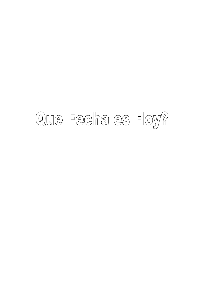## Que Fecha es Hoy?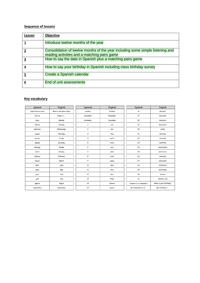| Lesson | Objective                                                                                                                      |
|--------|--------------------------------------------------------------------------------------------------------------------------------|
|        | Introduce twelve months of the year                                                                                            |
|        | Consolidation of twelve months of the year including some simple listening and<br>reading activities and a matching pairs game |
|        | How to say the date in Spanish plus a matching pairs game                                                                      |
| 4      | How to say your birthday in Spanish including class birthday survey                                                            |
| 5      | Create a Spanish calendar                                                                                                      |
| 6      | End of unit assessments                                                                                                        |

| Spanish            | <b>English</b>          | Spanish        | English         | Spanish                   | English                |
|--------------------|-------------------------|----------------|-----------------|---------------------------|------------------------|
| ¿Qué fecha es hoy? | What is the date today? | octubre        | October         | 16                        | dieciséis              |
| Hoy es             | Today is                | noviembre      | November        | 17                        | diecisiete             |
| lunes              | Monday                  | diciembre      | <b>December</b> | 18                        | dieciocho              |
| martes             | Tuesday                 | 1              | uno             | 19                        | diecinueve             |
| miércoles          | Wednesday               | $\overline{c}$ | dos             | 20                        | veinte                 |
| jueves             | Thursday                | $\mathbf{3}$   | tres            | 21                        | veintiuno              |
| viernes            | Friday                  | 4              | cuatro          | 22                        | veintidós              |
| sábado             | Saturday                | 5              | cinco           | 23                        | veintitrés             |
| domingo            | Sunday                  | 6              | seis            | 24                        | veinticuatro           |
| enero              | January                 | 7              | siete           | 25                        | veinticinco            |
| febrero            | February                | 8              | ocho            | 26                        | veintiséis             |
| marzo              | March                   | 9              | riueve          | 27                        | veintisiete            |
| abril              | April                   | 10             | diez            | 28                        | veintiocho             |
| mayo               | May                     | $_{\rm n}$     | once            | 29                        | veintinueve            |
| junio              | June                    | 12             | doce            | 30                        | treinta                |
| julio              | July                    | 13             | trece           | 31                        | treinta y uno          |
| agosto             | August                  | 14             | catorce         | ¿Cuándo es tu cumpleaños? | When is your birthday? |
| septiembre         | September               | 15             | quince          | Mi cumpleaños es el       | My birthday is         |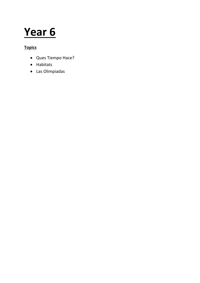### **Year 6**

#### **Topics**

- Ques Tiempo Hace?
- Habitats
- Las Olimpiadas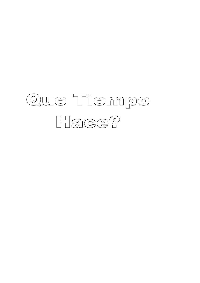## Que Tiempo Hace?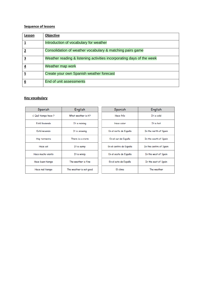| Lesson | Objective                                                             |
|--------|-----------------------------------------------------------------------|
|        | Introduction of vocabulary for weather                                |
|        | Consolidation of weather vocabulary & matching pairs game             |
| з      | Weather reading & listening activities incorporating days of the week |
|        | Weather map work                                                      |
| 5      | Create your own Spanish weather forecast                              |
| 6      | End of unit assessments                                               |

| Spanish             | English                 | Spanish                | English                |
|---------------------|-------------------------|------------------------|------------------------|
| ¿ Qué tiempo hace ? | What weather is it?     | Hace frío              | It is cold             |
| Está Iloviendo      | It is raining           | Hace calor             | It is hot              |
| Está nevando        | It is snowing           | En el norte de España  | In the north of Spain  |
| Hay tormenta        | There is a storm        | En el sur de España    | In the south of Spain  |
| Hace sol            | It is sunny             | En el centro de España | In the centre of Spain |
| Hace mucho viento   | It is windy             | En el oeste de España  | In the west of Spain   |
| Hace buen tiempo    | The weather is fine.    | En el este de España   | In the east of Spain   |
| Hace mal tiempo     | The weather is not good | El clima               | The weather            |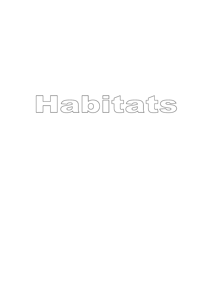# Habitats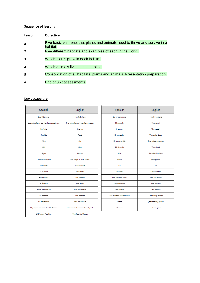| Lesson   | Objective                                                                               |
|----------|-----------------------------------------------------------------------------------------|
|          | Five basic elements that plants and animals need to thrive and survive in a<br>habitat. |
|          | Five different habitats and examples of each in the world.                              |
| <u>3</u> | Which plants grow in each habitat.                                                      |
| 4        | Which animals live in each habitat.                                                     |
| 5        | Consolidation of all habitats, plants and animals. Presentation preparation.            |
| 6        | End of unit assessments.                                                                |

#### **Key vocabulary**

 $\mathcal{L}^{\text{max}}$  and  $\mathcal{L}^{\text{max}}$ 

| Spanish                              | English                         | Spanish                 | English           |  |
|--------------------------------------|---------------------------------|-------------------------|-------------------|--|
| Los Hábitats                         | The habitats                    | La Groonlandia          | The Greenland     |  |
| Los animales y las plantas necesitan | The animals and the plants need | El camallo              | The camel         |  |
| Refugio                              | Shelter                         | El conojo               | The rabbit        |  |
| Comida                               | Food                            | El oso polar            | The polar bear    |  |
| Airc                                 | Air                             | El mono araña           | The spider monkey |  |
| Sol                                  | Sun                             | El tiburón              | The shark         |  |
| Agua                                 | Water                           | Vive                    | (he/she/it) lives |  |
| La selva tropical                    | The tropical rain forest        | Viven                   | (they) live       |  |
| El campo                             | The meadow                      | En                      | In                |  |
| El océano                            | The ocean                       | Las algas               | The seaweed       |  |
| El designto                          | The desert                      | Los árboles altos       | The tall trees    |  |
| El Ártico                            | <b>The Artic</b>                | Los arbustos            | The bushes        |  |
| es un hábitat en                     | is a habitat in                 | Los cactus              | The cactus        |  |
| El Sahara                            | The Sahara                      | Las plantas resistentes | The hardy plants  |  |
| El Amazonas                          | The Amazonia                    | Croce                   | (He/she/it) grows |  |
| El parque national South Downs       | The South Downs national park   | Crocon                  | (They) grow       |  |
| <b>El Océano Pacifico</b>            | The Pacific Ocean               |                         |                   |  |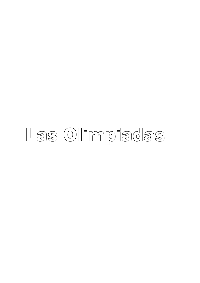## Las Olimpiadas